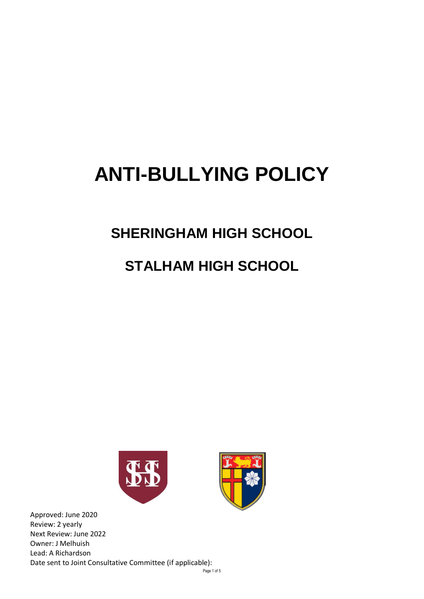# **ANTI-BULLYING POLICY**

### **SHERINGHAM HIGH SCHOOL**

## **STALHAM HIGH SCHOOL**





Page 1 of 5 Approved: June 2020 Review: 2 yearly Next Review: June 2022 Owner: J Melhuish Lead: A Richardson Date sent to Joint Consultative Committee (if applicable):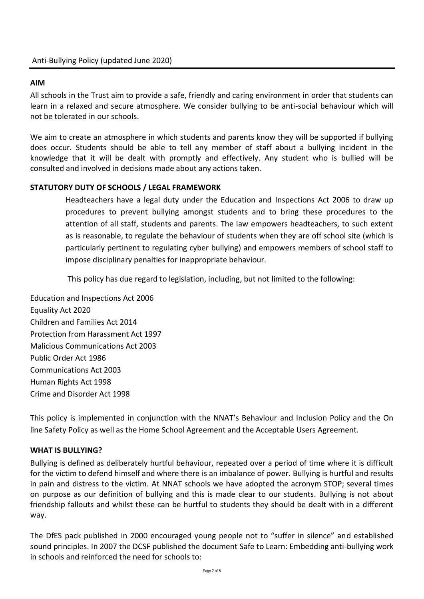#### **AIM**

All schools in the Trust aim to provide a safe, friendly and caring environment in order that students can learn in a relaxed and secure atmosphere. We consider bullying to be anti-social behaviour which will not be tolerated in our schools.

We aim to create an atmosphere in which students and parents know they will be supported if bullying does occur. Students should be able to tell any member of staff about a bullying incident in the knowledge that it will be dealt with promptly and effectively. Any student who is bullied will be consulted and involved in decisions made about any actions taken.

#### **STATUTORY DUTY OF SCHOOLS / LEGAL FRAMEWORK**

Headteachers have a legal duty under the Education and Inspections Act 2006 to draw up procedures to prevent bullying amongst students and to bring these procedures to the attention of all staff, students and parents. The law empowers headteachers, to such extent as is reasonable, to regulate the behaviour of students when they are off school site (which is particularly pertinent to regulating cyber bullying) and empowers members of school staff to impose disciplinary penalties for inappropriate behaviour.

This policy has due regard to legislation, including, but not limited to the following:

Education and Inspections Act 2006 Equality Act 2020 Children and Families Act 2014 Protection from Harassment Act 1997 Malicious Communications Act 2003 Public Order Act 1986 Communications Act 2003 Human Rights Act 1998 Crime and Disorder Act 1998

This policy is implemented in conjunction with the NNAT's Behaviour and Inclusion Policy and the On line Safety Policy as well as the Home School Agreement and the Acceptable Users Agreement.

#### **WHAT IS BULLYING?**

Bullying is defined as deliberately hurtful behaviour, repeated over a period of time where it is difficult for the victim to defend himself and where there is an imbalance of power. Bullying is hurtful and results in pain and distress to the victim. At NNAT schools we have adopted the acronym STOP; several times on purpose as our definition of bullying and this is made clear to our students. Bullying is not about friendship fallouts and whilst these can be hurtful to students they should be dealt with in a different way.

The DfES pack published in 2000 encouraged young people not to "suffer in silence" and established sound principles. In 2007 the DCSF published the document Safe to Learn: Embedding anti-bullying work in schools and reinforced the need for schools to: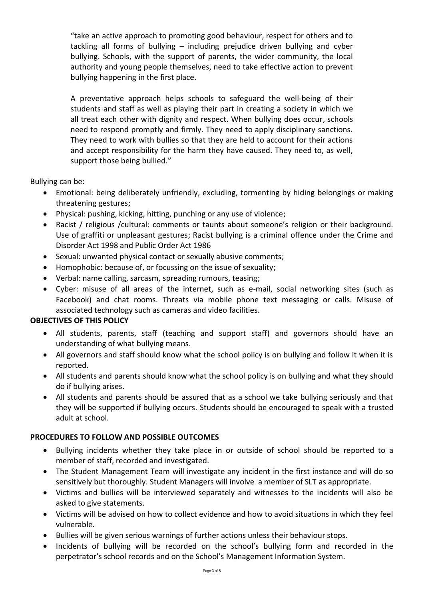"take an active approach to promoting good behaviour, respect for others and to tackling all forms of bullying – including prejudice driven bullying and cyber bullying. Schools, with the support of parents, the wider community, the local authority and young people themselves, need to take effective action to prevent bullying happening in the first place.

A preventative approach helps schools to safeguard the well-being of their students and staff as well as playing their part in creating a society in which we all treat each other with dignity and respect. When bullying does occur, schools need to respond promptly and firmly. They need to apply disciplinary sanctions. They need to work with bullies so that they are held to account for their actions and accept responsibility for the harm they have caused. They need to, as well, support those being bullied."

Bullying can be:

- Emotional: being deliberately unfriendly, excluding, tormenting by hiding belongings or making threatening gestures;
- Physical: pushing, kicking, hitting, punching or any use of violence;
- Racist / religious /cultural: comments or taunts about someone's religion or their background. Use of graffiti or unpleasant gestures; Racist bullying is a criminal offence under the Crime and Disorder Act 1998 and Public Order Act 1986
- Sexual: unwanted physical contact or sexually abusive comments;
- Homophobic: because of, or focussing on the issue of sexuality;
- Verbal: name calling, sarcasm, spreading rumours, teasing;
- Cyber: misuse of all areas of the internet, such as e-mail, social networking sites (such as Facebook) and chat rooms. Threats via mobile phone text messaging or calls. Misuse of associated technology such as cameras and video facilities.

#### **OBJECTIVES OF THIS POLICY**

- All students, parents, staff (teaching and support staff) and governors should have an understanding of what bullying means.
- All governors and staff should know what the school policy is on bullying and follow it when it is reported.
- All students and parents should know what the school policy is on bullying and what they should do if bullying arises.
- All students and parents should be assured that as a school we take bullying seriously and that they will be supported if bullying occurs. Students should be encouraged to speak with a trusted adult at school.

#### **PROCEDURES TO FOLLOW AND POSSIBLE OUTCOMES**

- Bullying incidents whether they take place in or outside of school should be reported to a member of staff, recorded and investigated.
- The Student Management Team will investigate any incident in the first instance and will do so sensitively but thoroughly. Student Managers will involve a member of SLT as appropriate.
- Victims and bullies will be interviewed separately and witnesses to the incidents will also be asked to give statements.
- Victims will be advised on how to collect evidence and how to avoid situations in which they feel vulnerable.
- Bullies will be given serious warnings of further actions unless their behaviour stops.
- Incidents of bullying will be recorded on the school's bullying form and recorded in the perpetrator's school records and on the School's Management Information System.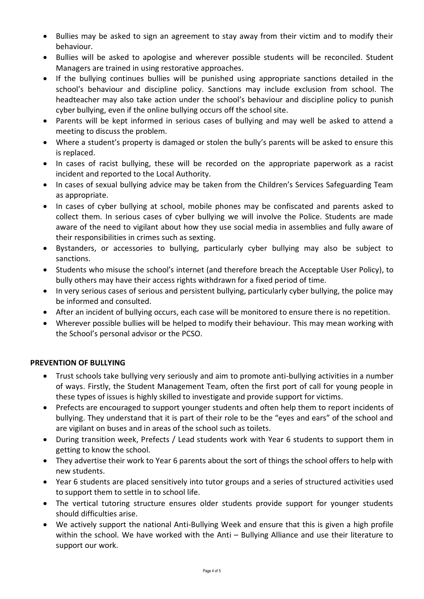- Bullies may be asked to sign an agreement to stay away from their victim and to modify their behaviour.
- Bullies will be asked to apologise and wherever possible students will be reconciled. Student Managers are trained in using restorative approaches.
- If the bullying continues bullies will be punished using appropriate sanctions detailed in the school's behaviour and discipline policy. Sanctions may include exclusion from school. The headteacher may also take action under the school's behaviour and discipline policy to punish cyber bullying, even if the online bullying occurs off the school site.
- Parents will be kept informed in serious cases of bullying and may well be asked to attend a meeting to discuss the problem.
- Where a student's property is damaged or stolen the bully's parents will be asked to ensure this is replaced.
- In cases of racist bullying, these will be recorded on the appropriate paperwork as a racist incident and reported to the Local Authority.
- In cases of sexual bullying advice may be taken from the Children's Services Safeguarding Team as appropriate.
- In cases of cyber bullying at school, mobile phones may be confiscated and parents asked to collect them. In serious cases of cyber bullying we will involve the Police. Students are made aware of the need to vigilant about how they use social media in assemblies and fully aware of their responsibilities in crimes such as sexting.
- Bystanders, or accessories to bullying, particularly cyber bullying may also be subject to sanctions.
- Students who misuse the school's internet (and therefore breach the Acceptable User Policy), to bully others may have their access rights withdrawn for a fixed period of time.
- In very serious cases of serious and persistent bullying, particularly cyber bullying, the police may be informed and consulted.
- After an incident of bullying occurs, each case will be monitored to ensure there is no repetition.
- Wherever possible bullies will be helped to modify their behaviour. This may mean working with the School's personal advisor or the PCSO.

#### **PREVENTION OF BULLYING**

- Trust schools take bullying very seriously and aim to promote anti-bullying activities in a number of ways. Firstly, the Student Management Team, often the first port of call for young people in these types of issues is highly skilled to investigate and provide support for victims.
- Prefects are encouraged to support younger students and often help them to report incidents of bullying. They understand that it is part of their role to be the "eyes and ears" of the school and are vigilant on buses and in areas of the school such as toilets.
- During transition week, Prefects / Lead students work with Year 6 students to support them in getting to know the school.
- They advertise their work to Year 6 parents about the sort of things the school offers to help with new students.
- Year 6 students are placed sensitively into tutor groups and a series of structured activities used to support them to settle in to school life.
- The vertical tutoring structure ensures older students provide support for younger students should difficulties arise.
- We actively support the national Anti-Bullying Week and ensure that this is given a high profile within the school. We have worked with the Anti – Bullying Alliance and use their literature to support our work.